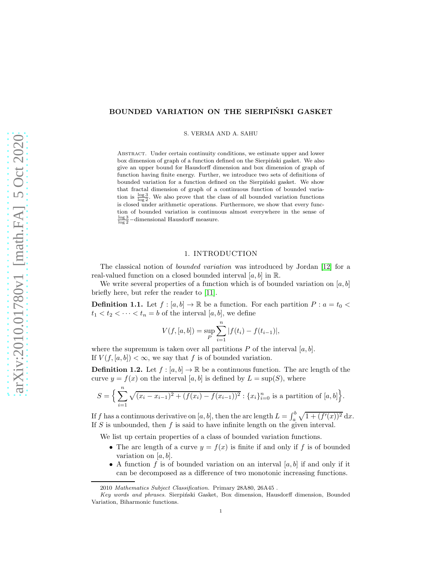# BOUNDED VARIATION ON THE SIERPIŃSKI GASKET

S. VERMA AND A. SAHU

Abstract. Under certain continuity conditions, we estimate upper and lower box dimension of graph of a function defined on the Sierpiński gasket. We also give an upper bound for Hausdorff dimension and box dimension of graph of function having finite energy. Further, we introduce two sets of definitions of bounded variation for a function defined on the Sierpiński gasket. We show that fractal dimension of graph of a continuous function of bounded variation is  $\frac{\log 3}{\log 2}$ . We also prove that the class of all bounded variation functions is closed under arithmetic operations. Furthermore, we show that every function of bounded variation is continuous almost everywhere in the sense of  $\frac{\log 3}{\log 2}$  –dimensional Hausdorff measure.

# 1. INTRODUCTION

The classical notion of bounded variation was introduced by Jordan [\[12\]](#page-13-0) for a real-valued function on a closed bounded interval  $[a, b]$  in  $\mathbb{R}$ .

We write several properties of a function which is of bounded variation on  $[a, b]$ briefly here, but refer the reader to [\[11\]](#page-13-1).

**Definition 1.1.** Let  $f : [a, b] \to \mathbb{R}$  be a function. For each partition  $P : a = t_0 <$  $t_1 < t_2 < \cdots < t_n = b$  of the interval  $[a, b]$ , we define

$$
V(f, [a, b]) = \sup_{P} \sum_{i=1}^{n} |f(t_i) - f(t_{i-1})|,
$$

where the supremum is taken over all partitions  $P$  of the interval  $[a, b]$ . If  $V(f, [a, b]) < \infty$ , we say that f is of bounded variation.

**Definition 1.2.** Let  $f : [a, b] \to \mathbb{R}$  be a continuous function. The arc length of the curve  $y = f(x)$  on the interval [a, b] is defined by  $L = \sup(S)$ , where

$$
S = \Big\{ \sum_{i=1}^{n} \sqrt{(x_i - x_{i-1})^2 + (f(x_i) - f(x_{i-1}))^2} : \{x_i\}_{i=0}^{n} \text{ is a partition of } [a, b] \Big\}.
$$

If f has a continuous derivative on [a, b], then the arc length  $L = \int_a^b \sqrt{1 + (f'(x))^2} dx$ . If  $S$  is unbounded, then  $f$  is said to have infinite length on the given interval.

We list up certain properties of a class of bounded variation functions.

- The arc length of a curve  $y = f(x)$  is finite if and only if f is of bounded variation on  $[a, b]$ .
- A function f is of bounded variation on an interval  $[a, b]$  if and only if it can be decomposed as a difference of two monotonic increasing functions.

<sup>2010</sup> Mathematics Subject Classification. Primary 28A80, 26A45 .

Key words and phrases. Sierpiński Gasket, Box dimension, Hausdorff dimension, Bounded Variation, Biharmonic functions.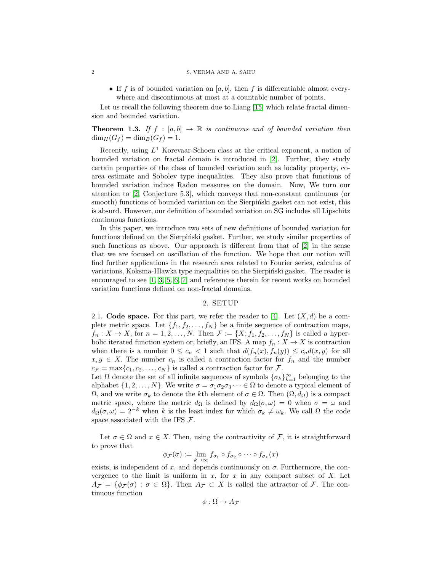#### 2 S. VERMA AND A. SAHU

• If f is of bounded variation on [a, b], then f is differentiable almost everywhere and discontinuous at most at a countable number of points.

Let us recall the following theorem due to Liang [\[15\]](#page-13-2) which relate fractal dimension and bounded variation.

**Theorem 1.3.** If  $f : [a, b] \rightarrow \mathbb{R}$  is continuous and of bounded variation then  $\dim_H(G_f) = \dim_B(G_f) = 1.$ 

Recently, using  $L^1$  Korevaar-Schoen class at the critical exponent, a notion of bounded variation on fractal domain is introduced in [\[2\]](#page-13-3). Further, they study certain properties of the class of bounded variation such as locality property, coarea estimate and Sobolev type inequalities. They also prove that functions of bounded variation induce Radon measures on the domain. Now, We turn our attention to [\[2,](#page-13-3) Conjecture 5.3], which conveys that non-constant continuous (or smooth) functions of bounded variation on the Sierpinski gasket can not exist, this is absurd. However, our definition of bounded variation on SG includes all Lipschitz continuous functions.

In this paper, we introduce two sets of new definitions of bounded variation for functions defined on the Sierpiński gasket. Further, we study similar properties of such functions as above. Our approach is different from that of [\[2\]](#page-13-3) in the sense that we are focused on oscillation of the function. We hope that our notion will find further applications in the research area related to Fourier series, calculus of variations, Koksma-Hlawka type inequalities on the Sierpinski gasket. The reader is encouraged to see [\[1,](#page-13-4) [3,](#page-13-5) [5,](#page-13-6) [6,](#page-13-7) [7\]](#page-13-8) and references therein for recent works on bounded variation functions defined on non-fractal domains.

#### 2. SETUP

2.1. Code space. For this part, we refer the reader to [\[4\]](#page-13-9). Let  $(X, d)$  be a complete metric space. Let  $\{f_1, f_2, \ldots, f_N\}$  be a finite sequence of contraction maps,  $f_n: X \to X$ , for  $n = 1, 2, \ldots, N$ . Then  $\mathcal{F} := \{X; f_1, f_2, \ldots, f_N\}$  is called a hyperbolic iterated function system or, briefly, an IFS. A map  $f_n: X \to X$  is contraction when there is a number  $0 \leq c_n < 1$  such that  $d(f_n(x), f_n(y)) \leq c_n d(x, y)$  for all  $x, y \in X$ . The number  $c_n$  is called a contraction factor for  $f_n$  and the number  $c_{\mathcal{F}} = \max\{c_1, c_2, \ldots, c_N\}$  is called a contraction factor for  $\mathcal{F}$ .

Let  $\Omega$  denote the set of all infinite sequences of symbols  $\{\sigma_k\}_{k=1}^{\infty}$  belonging to the alphabet  $\{1, 2, ..., N\}$ . We write  $\sigma = \sigma_1 \sigma_2 \sigma_3 \cdots \in \Omega$  to denote a typical element of  $\Omega$ , and we write  $\sigma_k$  to denote the kth element of  $\sigma \in \Omega$ . Then  $(\Omega, d_{\Omega})$  is a compact metric space, where the metric  $d_{\Omega}$  is defined by  $d_{\Omega}(\sigma,\omega) = 0$  when  $\sigma = \omega$  and  $d_{\Omega}(\sigma,\omega) = 2^{-k}$  when k is the least index for which  $\sigma_k \neq \omega_k$ . We call  $\Omega$  the code space associated with the IFS  $\mathcal{F}$ .

Let  $\sigma \in \Omega$  and  $x \in X$ . Then, using the contractivity of F, it is straightforward to prove that

$$
\phi_{\mathcal{F}}(\sigma) := \lim_{k \to \infty} f_{\sigma_1} \circ f_{\sigma_2} \circ \cdots \circ f_{\sigma_k}(x)
$$

exists, is independent of x, and depends continuously on  $\sigma$ . Furthermore, the convergence to the limit is uniform in  $x$ , for  $x$  in any compact subset of  $X$ . Let  $A_{\mathcal{F}} = {\phi_{\mathcal{F}}(\sigma) : \sigma \in \Omega}.$  Then  $A_{\mathcal{F}} \subset X$  is called the attractor of  $\mathcal{F}$ . The continuous function

$$
\phi : \Omega \to A_{\mathcal{F}}
$$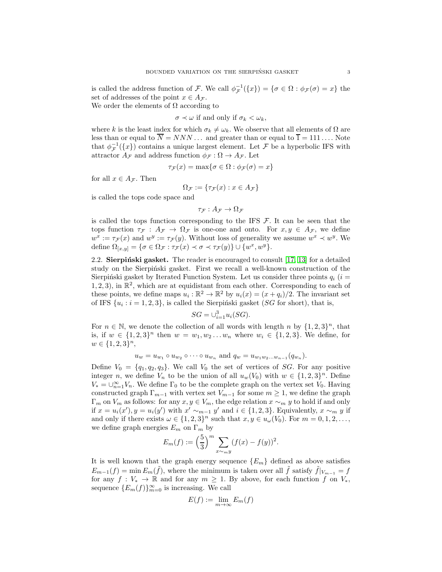is called the address function of F. We call  $\phi_{\mathcal{F}}^{-1}(\{x\}) = \{\sigma \in \Omega : \phi_{\mathcal{F}}(\sigma) = x\}$  the set of addresses of the point  $x \in A_{\mathcal{F}}$ .

We order the elements of  $\Omega$  according to

 $\sigma \prec \omega$  if and only if  $\sigma_k < \omega_k$ ,

where k is the least index for which  $\sigma_k \neq \omega_k$ . We observe that all elements of  $\Omega$  are less than or equal to  $\overline{N} = NNN \dots$  and greater than or equal to  $\overline{1} = 111 \dots$  Note that  $\phi_{\mathcal{F}}^{-1}(\lbrace x \rbrace)$  contains a unique largest element. Let  $\mathcal F$  be a hyperbolic IFS with attractor  $A_{\mathcal{F}}$  and address function  $\phi_{\mathcal{F}} : \Omega \to A_{\mathcal{F}}$ . Let

$$
\tau_{\mathcal{F}}(x) = \max\{\sigma \in \Omega : \phi_{\mathcal{F}}(\sigma) = x\}
$$

for all  $x \in A_{\mathcal{F}}$ . Then

$$
\Omega_{\mathcal{F}} := \{ \tau_{\mathcal{F}}(x) : x \in A_{\mathcal{F}} \}
$$

is called the tops code space and

 $\tau_F : A_F \to \Omega_F$ 

is called the tops function corresponding to the IFS  $\mathcal{F}$ . It can be seen that the tops function  $\tau_{\mathcal{F}} : A_{\mathcal{F}} \to \Omega_{\mathcal{F}}$  is one-one and onto. For  $x, y \in A_{\mathcal{F}}$ , we define  $w^x := \tau_{\mathcal{F}}(x)$  and  $w^y := \tau_{\mathcal{F}}(y)$ . Without loss of generality we assume  $w^x \prec w^y$ . We define  $\Omega_{[x,y]} = \{ \sigma \in \Omega_{\mathcal{F}} : \tau_{\mathcal{F}}(x) \prec \sigma \prec \tau_{\mathcal{F}}(y) \} \cup \{w^x, w^y\}.$ 

2.2. Sierpinski gasket. The reader is encouraged to consult  $[17, 13]$  $[17, 13]$  for a detailed study on the Sierpinski gasket. First we recall a well-known construction of the Sierpiński gasket by Iterated Function System. Let us consider three points  $q_i$  (i =  $(1, 2, 3)$ , in  $\mathbb{R}^2$ , which are at equidistant from each other. Corresponding to each of these points, we define maps  $u_i : \mathbb{R}^2 \to \mathbb{R}^2$  by  $u_i(x) = (x + q_i)/2$ . The invariant set of IFS  $\{u_i : i = 1, 2, 3\}$ , is called the Sierpinski gasket (SG for short), that is,

$$
SG = \cup_{i=1}^{3} u_i(SG).
$$

For  $n \in \mathbb{N}$ , we denote the collection of all words with length n by  $\{1,2,3\}^n$ , that is, if  $w \in \{1,2,3\}^n$  then  $w = w_1, w_2 \ldots w_n$  where  $w_i \in \{1,2,3\}$ . We define, for  $w \in \{1, 2, 3\}^n$ ,

$$
u_w = u_{w_1} \circ u_{w_2} \circ \cdots \circ u_{w_n}
$$
 and  $q_w = u_{w_1 w_2 \ldots w_{n-1}}(q_{w_n}).$ 

Define  $V_0 = \{q_1, q_2, q_3\}$ . We call  $V_0$  the set of vertices of SG. For any positive integer *n*, we define  $V_n$  to be the union of all  $u_w(V_0)$  with  $w \in \{1,2,3\}^n$ . Define  $V_* = \bigcup_{n=1}^{\infty} V_n$ . We define  $\Gamma_0$  to be the complete graph on the vertex set  $V_0$ . Having constructed graph  $\Gamma_{m-1}$  with vertex set  $V_{m-1}$  for some  $m \geq 1$ , we define the graph  $\Gamma_m$  on  $V_m$  as follows: for any  $x, y \in V_m$ , the edge relation  $x \sim_m y$  to hold if and only if  $x = u_i(x')$ ,  $y = u_i(y')$  with  $x' \sim_{m-1} y'$  and  $i \in \{1, 2, 3\}$ . Equivalently,  $x \sim_m y$  if and only if there exists  $\omega \in \{1,2,3\}^n$  such that  $x, y \in u_{\omega}(V_0)$ . For  $m = 0,1,2,...$ , we define graph energies  $E_m$  on  $\Gamma_m$  by

$$
E_m(f) := \left(\frac{5}{3}\right)^m \sum_{x \sim_m y} (f(x) - f(y))^2.
$$

It is well known that the graph energy sequence  ${E_m}$  defined as above satisfies  $E_{m-1}(f) = \min E_m(\tilde{f})$ , where the minimum is taken over all  $\tilde{f}$  satisfy  $\tilde{f}|_{V_{m-1}} = f$ for any  $f: V_* \to \mathbb{R}$  and for any  $m \geq 1$ . By above, for each function f on  $V_*$ , sequence  ${E_m(f)}_{m=0}^{\infty}$  is increasing. We call

$$
E(f) := \lim_{m \to \infty} E_m(f)
$$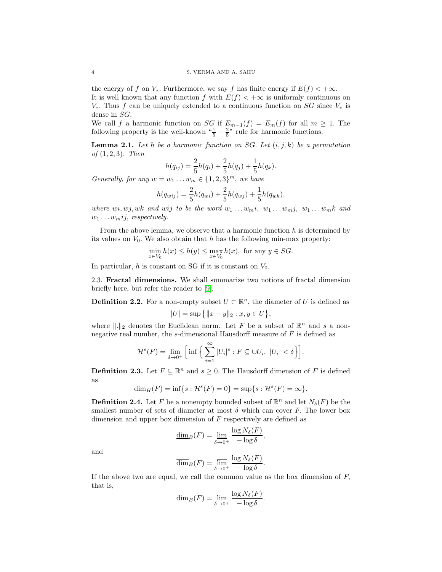the energy of f on  $V_*$ . Furthermore, we say f has finite energy if  $E(f) < +\infty$ . It is well known that any function f with  $E(f) < +\infty$  is uniformly continuous on  $V_*$ . Thus f can be uniquely extended to a continuous function on SG since  $V_*$  is dense in SG.

We call f a harmonic function on SG if  $E_{m-1}(f) = E_m(f)$  for all  $m \geq 1$ . The following property is the well-known  $\frac{4}{5} - \frac{2}{5}$ " rule for harmonic functions.

**Lemma 2.1.** Let h be a harmonic function on SG. Let  $(i, j, k)$  be a permutation of  $(1, 2, 3)$ . Then

$$
h(q_{ij}) = \frac{2}{5}h(q_i) + \frac{2}{5}h(q_j) + \frac{1}{5}h(q_k).
$$

Generally, for any  $w = w_1 \dots w_m \in \{1, 2, 3\}^m$ , we have

$$
h(q_{wij}) = \frac{2}{5}h(q_{wi}) + \frac{2}{5}h(q_{wj}) + \frac{1}{5}h(q_{wk}),
$$

where wi, wj, wk and wij to be the word  $w_1 \ldots w_m i$ ,  $w_1 \ldots w_m j$ ,  $w_1 \ldots w_m k$  and  $w_1 \ldots w_m i j$ , respectively.

From the above lemma, we observe that a harmonic function  $h$  is determined by its values on  $V_0$ . We also obtain that h has the following min-max property:

$$
\min_{x \in V_0} h(x) \le h(y) \le \max_{x \in V_0} h(x), \text{ for any } y \in SG.
$$

In particular,  $h$  is constant on SG if it is constant on  $V_0$ .

2.3. Fractal dimensions. We shall summarize two notions of fractal dimension briefly here, but refer the reader to [\[9\]](#page-13-12).

**Definition 2.2.** For a non-empty subset  $U \subset \mathbb{R}^n$ , the diameter of U is defined as  $|U| = \sup \{ ||x - y||_2 : x, y \in U \},\$ 

where  $\|\cdot\|_2$  denotes the Euclidean norm. Let F be a subset of  $\mathbb{R}^n$  and s a nonnegative real number, the s-dimensional Hausdorff measure of  $F$  is defined as

$$
\mathcal{H}^s(F) = \lim_{\delta \to 0^+} \Big[ \inf \Big\{ \sum_{i=1}^{\infty} |U_i|^s : F \subseteq \cup U_i, \ |U_i| < \delta \Big\} \Big].
$$

**Definition 2.3.** Let  $F \subseteq \mathbb{R}^n$  and  $s \geq 0$ . The Hausdorff dimension of F is defined as

$$
\dim_H(F) = \inf\{s : \mathcal{H}^s(F) = 0\} = \sup\{s : \mathcal{H}^s(F) = \infty\}.
$$

**Definition 2.4.** Let F be a nonempty bounded subset of  $\mathbb{R}^n$  and let  $N_{\delta}(F)$  be the smallest number of sets of diameter at most  $\delta$  which can cover F. The lower box dimension and upper box dimension of F respectively are defined as

$$
\underline{\dim}_B(F) = \lim_{\delta \to 0^+} \frac{\log N_{\delta}(F)}{-\log \delta},
$$

and

$$
\overline{\dim}_B(F) = \overline{\lim}_{\delta \to 0^+} \frac{\log N_{\delta}(F)}{-\log \delta}.
$$

If the above two are equal, we call the common value as the box dimension of  $F$ , that is,

$$
\dim_B(F) = \lim_{\delta \to 0^+} \frac{\log N_{\delta}(F)}{-\log \delta}.
$$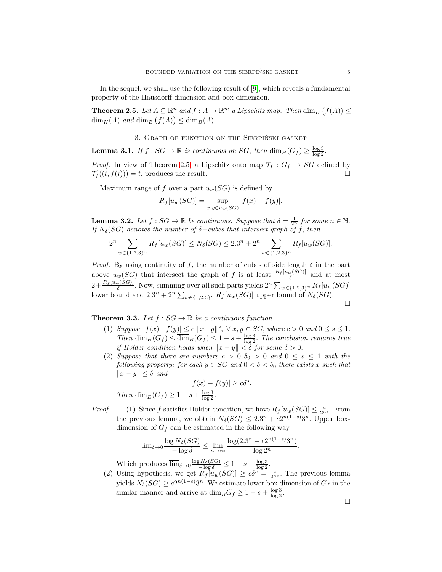In the sequel, we shall use the following result of [\[9\]](#page-13-12), which reveals a fundamental property of the Hausdorff dimension and box dimension.

<span id="page-4-0"></span>**Theorem 2.5.** Let  $A \subseteq \mathbb{R}^n$  and  $f : A \to \mathbb{R}^m$  a Lipschitz map. Then  $\dim_H (f(A)) \leq$  $\dim_H(A)$  and  $\dim_B(f(A)) \leq \dim_B(A)$ .

#### 3. GRAPH OF FUNCTION ON THE SIERPIŃSKI GASKET

<span id="page-4-1"></span>**Lemma 3.1.** If  $f : SG \to \mathbb{R}$  is continuous on SG, then  $\dim_H(G_f) \geq \frac{\log 3}{\log 2}$ .

*Proof.* In view of Theorem [2.5,](#page-4-0) a Lipschitz onto map  $\mathcal{T}_f : G_f \to SG$  defined by  $\mathcal{T}_f((t, f(t))) = t$ , produces the result.

Maximum range of f over a part  $u_w(SG)$  is defined by

$$
R_f[u_w(SG)] = \sup_{x,y \in u_w(SG)} |f(x) - f(y)|.
$$

<span id="page-4-3"></span>**Lemma 3.2.** Let  $f : SG \to \mathbb{R}$  be continuous. Suppose that  $\delta = \frac{1}{2^n}$  for some  $n \in \mathbb{N}$ . If  $N_{\delta}(SG)$  denotes the number of  $\delta$ -cubes that intersect graph of f, then

$$
2^{n} \sum_{w \in \{1,2,3\}^n} R_f[u_w(SG)] \leq N_{\delta}(SG) \leq 2 \cdot 3^{n} + 2^{n} \sum_{w \in \{1,2,3\}^n} R_f[u_w(SG)].
$$

*Proof.* By using continuity of f, the number of cubes of side length  $\delta$  in the part above  $u_w(SG)$  that intersect the graph of f is at least  $\frac{R_f[u_w(SG)]}{\delta}$  and at most  $2+\frac{R_f[u_w(SG)]}{\delta}$ . Now, summing over all such parts yields  $2^n\sum_{w\in\{1,2,3\}^n}R_f[u_w(SG)]$ lower bound and  $2 \cdot 3^n + 2^n \sum_{w \in \{1,2,3\}^n} R_f[u_w(SG)]$  upper bound of  $N_{\delta}(SG)$ .  $\Box$ 

<span id="page-4-2"></span>**Theorem 3.3.** Let  $f : SG \to \mathbb{R}$  be a continuous function.

- (1) Suppose  $|f(x)-f(y)| \le c ||x-y||^s$ ,  $\forall x, y \in SG$ , where  $c > 0$  and  $0 \le s \le 1$ . Then  $\dim_H(G_f) \leq \overline{\dim}_B(G_f) \leq 1 - s + \frac{\log 3}{\log 2}$ . The conclusion remains true if Hölder condition holds when  $||x - y|| < \delta$  for some  $\delta > 0$ .
- (2) Suppose that there are numbers  $c > 0, \delta_0 > 0$  and  $0 \leq s \leq 1$  with the following property: for each  $y \in SG$  and  $0 < \delta < \delta_0$  there exists x such that  $||x - y||$  ≤ δ and

$$
|f(x) - f(y)| \ge c\delta^{s}.
$$
  
Then  $\underline{\dim}_{B}(G_f) \ge 1 - s + \frac{\log 3}{\log 2}.$ 

*Proof.* (1) Since f satisfies Hölder condition, we have  $R_f[u_w(SG)] \leq \frac{c}{2^{ns}}$ . From the previous lemma, we obtain  $N_{\delta}(SG) \leq 2.3^{n} + c2^{n(1-s)}3^{n}$ . Upper boxdimension of  $G_f$  can be estimated in the following way

$$
\overline{\lim}_{\delta \to 0} \frac{\log N_{\delta}(SG)}{-\log \delta} \le \lim_{n \to \infty} \frac{\log(2.3^n + c2^{n(1-s)}3^n)}{\log 2^n}.
$$

Which produces  $\overline{\lim}_{\delta \to 0} \frac{\log N_{\delta}(SG)}{-\log \delta} \leq 1 - s + \frac{\log 3}{\log 2}$ .

(2) Using hypothesis, we get  $R_f[u_w(SG)] \geq c\delta^s = \frac{c}{2^{ns}}$ . The previous lemma yields  $N_{\delta}(SG) \geq c2^{n(1-s)}3^n$ . We estimate lower box dimension of  $G_f$  in the similar manner and arrive at  $\underline{\dim}_B G_f \geq 1 - s + \frac{\log 3}{\log 2}$ .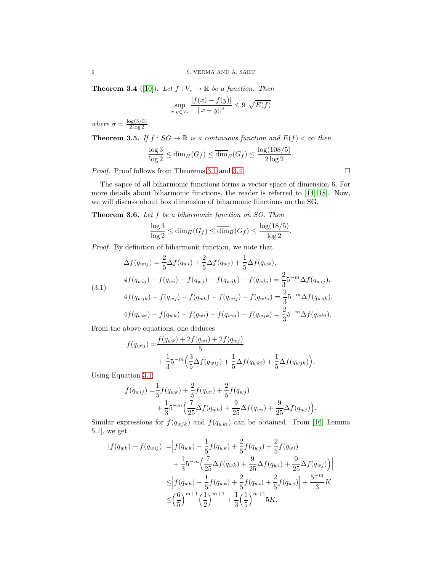<span id="page-5-0"></span>**Theorem 3.4** ([\[10\]](#page-13-13)). Let  $f: V_* \to \mathbb{R}$  be a function. Then

$$
\sup_{x,y \in V_*} \frac{|f(x) - f(y)|}{\|x - y\|^\sigma} \le 9 \sqrt{E(f)}
$$

where  $\sigma = \frac{\log(5/3)}{2 \log 2}$ .

**Theorem 3.5.** If  $f : SG \to \mathbb{R}$  is a continuous function and  $E(f) < \infty$  then

$$
\frac{\log 3}{\log 2} \le \dim_H(G_f) \le \overline{\dim}_B(G_f) \le \frac{\log(108/5)}{2\log 2}.
$$

*Proof.* Proof follows from Theorems [3.1](#page-4-1) and [3.4.](#page-5-0)  $\Box$ 

The sapce of all biharmonic functions forms a vector space of dimension 6. For more details about biharmonic functions, the reader is referred to [\[14,](#page-13-14) [18\]](#page-13-15). Now, we will discuss about box dimension of biharmonic functions on the SG.

Theorem 3.6. Let f be a biharmonic function on SG. Then

$$
\frac{\log 3}{\log 2} \le \dim_H(G_f) \le \overline{\dim}_B(G_f) \le \frac{\log(18/5)}{\log 2}.
$$

Proof. By definition of biharmonic function, we note that

<span id="page-5-1"></span>
$$
\Delta f(q_{wij}) = \frac{2}{5} \Delta f(q_{wij}) + \frac{2}{5} \Delta f(q_{wij}) + \frac{1}{5} \Delta f(q_{wk}),
$$
  
\n
$$
4f(q_{wij}) - f(q_{wij}) - f(q_{wij}) - f(q_{upjk}) - f(q_{whi}) = \frac{2}{3} 5^{-m} \Delta f(q_{wij}),
$$
  
\n
$$
4f(q_{wjk}) - f(q_{wj}) - f(q_{wk}) - f(q_{wij}) - f(q_{whi}) = \frac{2}{3} 5^{-m} \Delta f(q_{wjk}),
$$
  
\n
$$
4f(q_{wki}) - f(q_{wk}) - f(q_{wi}) - f(q_{wij}) - f(q_{wjk}) = \frac{2}{3} 5^{-m} \Delta f(q_{wki}).
$$

From the above equations, one deduces

$$
f(q_{wij}) = \frac{f(q_{wk}) + 2f(q_{wij})}{5} + \frac{1}{3}5^{-m} \Big( \frac{3}{5} \Delta f(q_{wij}) + \frac{1}{5} \Delta f(q_{wki}) + \frac{1}{5} \Delta f(q_{wjk}) \Big).
$$

Using Equation [3.1,](#page-5-1)

$$
f(q_{wij}) = \frac{1}{5} f(q_{wk}) + \frac{2}{5} f(q_{wi}) + \frac{2}{5} f(q_{wj}) + \frac{1}{3} 5^{-m} \Big( \frac{7}{25} \Delta f(q_{wk}) + \frac{9}{25} \Delta f(q_{wi}) + \frac{9}{25} \Delta f(q_{wj}) \Big).
$$

Similar expressions for  $f(q_{wjk})$  and  $f(q_{wki})$  can be obtained. From [\[16,](#page-13-16) Lemma 5.1], we get

$$
|f(q_{wk}) - f(q_{wij})| = |f(q_{wk}) - \frac{1}{5}f(q_{wk}) + \frac{2}{5}f(q_{wj}) + \frac{2}{5}f(q_{wi})
$$
  
+ 
$$
\frac{1}{3}5^{-m} \Big( \frac{7}{25} \Delta f(q_{wk}) + \frac{9}{25} \Delta f(q_{wi}) + \frac{9}{25} \Delta f(q_{wj}) \Big) |
$$
  

$$
\leq |f(q_{wk}) - \frac{1}{5}f(q_{wk}) + \frac{2}{5}f(q_{wi}) + \frac{2}{5}f(q_{wj})| + \frac{5^{-m}}{3}K
$$
  

$$
\leq \Big(\frac{6}{5}\Big)^{m+1} \Big(\frac{1}{2}\Big)^{m+1} + \frac{1}{3} \Big(\frac{1}{5}\Big)^{m+1} 5K,
$$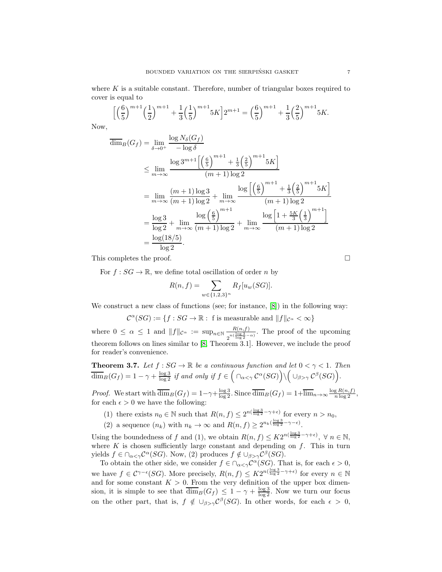where  $K$  is a suitable constant. Therefore, number of triangular boxes required to cover is equal to

$$
\left[\left(\frac{6}{5}\right)^{m+1}\left(\frac{1}{2}\right)^{m+1} + \frac{1}{3}\left(\frac{1}{5}\right)^{m+1} 5K\right] 2^{m+1} = \left(\frac{6}{5}\right)^{m+1} + \frac{1}{3}\left(\frac{2}{5}\right)^{m+1} 5K.
$$

Now,

$$
\overline{\dim}_B(G_f) = \lim_{\delta \to 0^+} \frac{\log N_{\delta}(G_f)}{-\log \delta}
$$
\n
$$
\leq \lim_{m \to \infty} \frac{\log 3^{m+1} \left[ \left( \frac{6}{5} \right)^{m+1} + \frac{1}{3} \left( \frac{2}{5} \right)^{m+1} 5K \right]}{(m+1) \log 2}
$$
\n
$$
= \lim_{m \to \infty} \frac{(m+1) \log 3}{(m+1) \log 2} + \lim_{m \to \infty} \frac{\log \left[ \left( \frac{6}{5} \right)^{m+1} + \frac{1}{3} \left( \frac{2}{5} \right)^{m+1} 5K \right]}{(m+1) \log 2}
$$
\n
$$
= \frac{\log 3}{\log 2} + \lim_{m \to \infty} \frac{\log \left( \frac{6}{5} \right)^{m+1}}{(m+1) \log 2} + \lim_{m \to \infty} \frac{\log \left[ 1 + \frac{5K}{3} \left( \frac{1}{3} \right)^{m+1} \right]}{(m+1) \log 2}
$$
\n
$$
= \frac{\log(18/5)}{\log 2}.
$$

This completes the proof.

For  $f : SG \to \mathbb{R}$ , we define total oscillation of order n by

$$
R(n, f) = \sum_{w \in \{1, 2, 3\}^n} R_f[u_w(SG)].
$$

We construct a new class of functions (see; for instance, [\[8\]](#page-13-17)) in the following way:

$$
\mathcal{C}^{\alpha}(SG) := \{ f : SG \to \mathbb{R} : f \text{ is measurable and } ||f||_{\mathcal{C}^{\alpha}} < \infty \}
$$

where  $0 \leq \alpha \leq 1$  and  $||f||_{\mathcal{C}^{\alpha}} := \sup_{n \in \mathbb{N}} \frac{R(n,f)}{n(\frac{\log 3}{\alpha})}$  $\frac{R(n,j)}{2^{n(\frac{\log 3}{\log 2}-\alpha)}}$ . The proof of the upcoming theorem follows on lines similar to [\[8,](#page-13-17) Theorem 3.1]. However, we include the proof for reader's convenience.

<span id="page-6-0"></span>**Theorem 3.7.** Let  $f : SG \to \mathbb{R}$  be a continuous function and let  $0 < \gamma < 1$ . Then  $\overline{\dim}_B(G_f) = 1 - \gamma + \frac{\log 3}{\log 2}$  if and only if  $f \in \Big(\cap_{\alpha < \gamma} C^{\alpha}(SG)\Big) \setminus \Big(\cup_{\beta > \gamma} C^{\beta}(SG)\Big)$ .

*Proof.* We start with  $\overline{\dim}_B(G_f) = 1 - \gamma + \frac{\log 3}{\log 2}$ . Since  $\overline{\dim}_B(G_f) = 1 + \overline{\lim}_{n \to \infty} \frac{\log R(n, f)}{n \log 2}$ , for each  $\epsilon > 0$  we have the following:

(1) there exists  $n_0 \in \mathbb{N}$  such that  $R(n, f) \leq 2^{n(\frac{\log 3}{\log 2} - \gamma + \epsilon)}$  for every  $n > n_0$ ,

(2) a sequence  $(n_k)$  with  $n_k \to \infty$  and  $R(n, f) \geq 2^{n_k(\frac{\log 3}{\log 2} - \gamma - \epsilon)}$ .

Using the boundedness of f and (1), we obtain  $R(n, f) \leq K2^{n(\frac{\log 3}{\log 2} - \gamma + \epsilon)}$ ,  $\forall n \in \mathbb{N}$ , where  $K$  is chosen sufficiently large constant and depending on  $f$ . This in turn yields  $f \in \bigcap_{\alpha < \gamma} C^{\alpha}(SG)$ . Now, (2) produces  $f \notin \bigcup_{\beta > \gamma} C^{\beta}(SG)$ .

To obtain the other side, we consider  $f \in \bigcap_{\alpha < \gamma} C^{\alpha}(SG)$ . That is, for each  $\epsilon > 0$ , we have  $f \in C^{\gamma-\epsilon}(SG)$ . More precisely,  $R(n, f) \leq K2^{n(\frac{\log 3}{\log 2} - \gamma + \epsilon)}$  for every  $n \in \mathbb{N}$ and for some constant  $K > 0$ . From the very definition of the upper box dimension, it is simple to see that  $\overline{\dim}_B(G_f) \leq 1 - \gamma + \frac{\log 3}{\log 2}$ . Now we turn our focus on the other part, that is,  $f \notin \bigcup_{\beta > \gamma} C^{\beta}(SG)$ . In other words, for each  $\epsilon > 0$ ,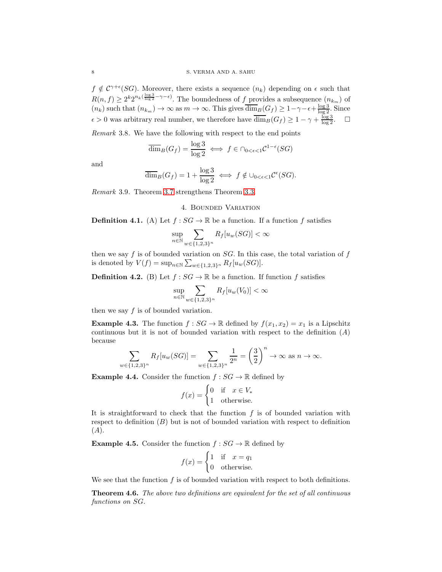$f \notin C^{\gamma+\epsilon}(SG)$ . Moreover, there exists a sequence  $(n_k)$  depending on  $\epsilon$  such that  $R(n, f) \geq 2^k 2^{n_k(\frac{\log 3}{\log 2} - \gamma - \epsilon)}$ . The boundedness of f provides a subsequence  $(n_{k_m})$  of  $(n_k)$  such that  $(n_{k_m}) \to \infty$  as  $m \to \infty$ . This gives  $\overline{\dim}_B(G_f) \geq 1 - \gamma - \epsilon + \frac{\log 3}{\log 2}$ . Since  $\epsilon > 0$  was arbitrary real number, we therefore have  $\overline{\dim}_B(G_f) \geq 1 - \gamma + \frac{\log 3}{\log 2}$ .  $\Box$ 

Remark 3.8. We have the following with respect to the end points

$$
\overline{\dim}_B(G_f) = \frac{\log 3}{\log 2} \iff f \in \cap_{0 < \epsilon < 1} \mathcal{C}^{1-\epsilon}(SG)
$$

and

$$
\overline{\dim}_B(G_f) = 1 + \frac{\log 3}{\log 2} \iff f \notin \cup_{0 < \epsilon < 1} \mathcal{C}^\epsilon(SG).
$$

Remark 3.9. Theorem [3.7](#page-6-0) strengthens Theorem [3.3.](#page-4-2)

4. Bounded Variation

**Definition 4.1.** (A) Let  $f : SG \to \mathbb{R}$  be a function. If a function f satisfies

$$
\sup_{n \in \mathbb{N}} \sum_{w \in \{1,2,3\}^n} R_f[u_w(SG)] < \infty
$$

then we say  $f$  is of bounded variation on  $SG$ . In this case, the total variation of  $f$ is denoted by  $V(f) = \sup_{n \in \mathbb{N}} \sum_{w \in \{1,2,3\}^n} R_f[u_w(SG)].$ 

**Definition 4.2.** (B) Let  $f : SG \to \mathbb{R}$  be a function. If function f satisfies

$$
\sup_{n \in \mathbb{N}} \sum_{w \in \{1,2,3\}^n} R_f[u_w(V_0)] < \infty
$$

then we say  $f$  is of bounded variation.

<span id="page-7-0"></span>**Example 4.3.** The function  $f : SG \to \mathbb{R}$  defined by  $f(x_1, x_2) = x_1$  is a Lipschitz continuous but it is not of bounded variation with respect to the definition  $(A)$ because

$$
\sum_{w \in \{1,2,3\}^n} R_f[u_w(SG)] = \sum_{w \in \{1,2,3\}^n} \frac{1}{2^n} = \left(\frac{3}{2}\right)^n \to \infty \text{ as } n \to \infty.
$$

**Example 4.4.** Consider the function  $f : SG \to \mathbb{R}$  defined by

$$
f(x) = \begin{cases} 0 & \text{if } x \in V_* \\ 1 & \text{otherwise.} \end{cases}
$$

It is straightforward to check that the function  $f$  is of bounded variation with respect to definition  $(B)$  but is not of bounded variation with respect to definition (A).

**Example 4.5.** Consider the function  $f : SG \to \mathbb{R}$  defined by

$$
f(x) = \begin{cases} 1 & \text{if } x = q_1 \\ 0 & \text{otherwise.} \end{cases}
$$

We see that the function  $f$  is of bounded variation with respect to both definitions.

Theorem 4.6. The above two definitions are equivalent for the set of all continuous functions on SG.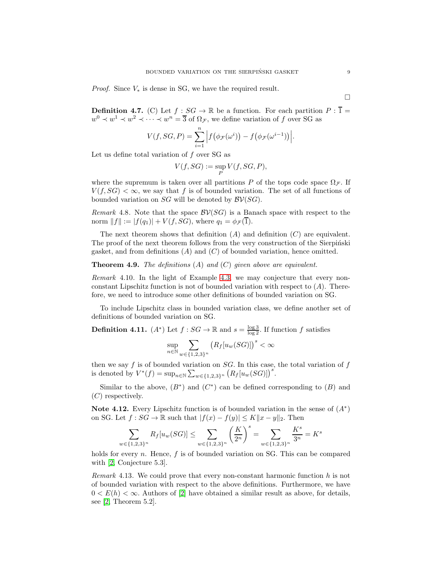*Proof.* Since  $V_*$  is dense in SG, we have the required result.

**Definition 4.7.** (C) Let  $f : SG \to \mathbb{R}$  be a function. For each partition  $P : \overline{1} =$  $w^0 \prec w^1 \prec w^2 \prec \cdots \prec w^n = \overline{3}$  of  $\Omega_{\mathcal{F}}$ , we define variation of f over SG as

$$
V(f, SG, P) = \sum_{i=1}^{n} \left| f(\phi_{\mathcal{F}}(\omega^{i})) - f(\phi_{\mathcal{F}}(\omega^{i-1})) \right|.
$$

Let us define total variation of  $f$  over SG as

$$
V(f, SG) := \sup_P V(f, SG, P),
$$

where the supremum is taken over all partitions P of the tops code space  $\Omega_{\mathcal{F}}$ . If  $V(f, SG) < \infty$ , we say that f is of bounded variation. The set of all functions of bounded variation on  $SG$  will be denoted by  $\mathcal{BV}(SG)$ .

Remark 4.8. Note that the space  $\mathcal{BV}(SG)$  is a Banach space with respect to the norm  $||f|| := |f(q_1)| + V(f, SG)$ , where  $q_1 = \phi_{\mathcal{F}}(T)$ .

The next theorem shows that definition  $(A)$  and definition  $(C)$  are equivalent. The proof of the next theorem follows from the very construction of the Sierpinski gasket, and from definitions  $(A)$  and  $(C)$  of bounded variation, hence omitted.

#### **Theorem 4.9.** The definitions  $(A)$  and  $(C)$  given above are equivalent.

Remark 4.10. In the light of Example [4.3,](#page-7-0) we may conjecture that every nonconstant Lipschitz function is not of bounded variation with respect to  $(A)$ . Therefore, we need to introduce some other definitions of bounded variation on SG.

To include Lipschitz class in bounded variation class, we define another set of definitions of bounded variation on SG.

**Definition 4.11.**  $(A^*)$  Let  $f : SG \to \mathbb{R}$  and  $s = \frac{\log 3}{\log 2}$ . If function f satisfies

$$
\sup_{n\in\mathbb{N}}\sum_{w\in\{1,2,3\}^n}\left(R_f[u_w(SG)]\right)^s<\infty
$$

then we say f is of bounded variation on  $SG$ . In this case, the total variation of f is denoted by  $V^*(f) = \sup_{n \in \mathbb{N}} \sum_{w \in \{1,2,3\}^n} (R_f[u_w(SG)])^s$ .

Similar to the above,  $(B^*)$  and  $(C^*)$  can be defined corresponding to  $(B)$  and (C) respectively.

<span id="page-8-0"></span>Note 4.12. Every Lipschitz function is of bounded variation in the sense of  $(A^*)$ on SG. Let  $f : SG \to \mathbb{R}$  such that  $|f(x) - f(y)| \le K ||x - y||_2$ . Then

$$
\sum_{w \in \{1,2,3\}^n} R_f[u_w(SG)] \le \sum_{w \in \{1,2,3\}^n} \left(\frac{K}{2^n}\right)^s = \sum_{w \in \{1,2,3\}^n} \frac{K^s}{3^n} = K^s
$$

holds for every  $n$ . Hence,  $f$  is of bounded variation on SG. This can be compared with [\[2,](#page-13-3) Conjecture 5.3].

Remark 4.13. We could prove that every non-constant harmonic function h is not of bounded variation with respect to the above definitions. Furthermore, we have  $0 < E(h) < \infty$ . Authors of [\[2\]](#page-13-3) have obtained a similar result as above, for details, see [\[2,](#page-13-3) Theorem 5.2].

 $\Box$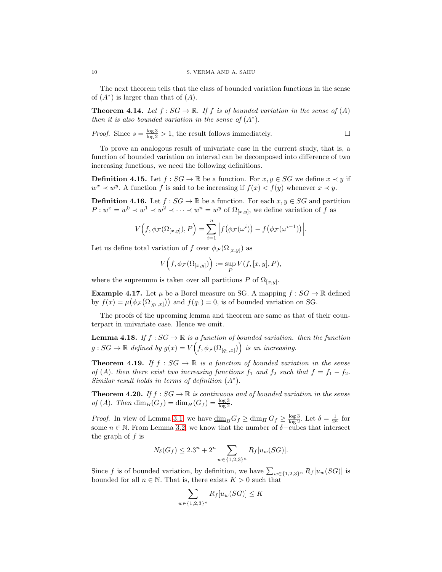The next theorem tells that the class of bounded variation functions in the sense of  $(A^*)$  is larger than that of  $(A)$ .

**Theorem 4.14.** Let  $f : SG \to \mathbb{R}$ . If f is of bounded variation in the sense of  $(A)$ then it is also bounded variation in the sense of  $(A^*)$ .

*Proof.* Since 
$$
s = \frac{\log 3}{\log 2} > 1
$$
, the result follows immediately.

To prove an analogous result of univariate case in the current study, that is, a function of bounded variation on interval can be decomposed into difference of two increasing functions, we need the following definitions.

**Definition 4.15.** Let  $f : SG \to \mathbb{R}$  be a function. For  $x, y \in SG$  we define  $x \prec y$  if  $w^x \prec w^y$ . A function f is said to be increasing if  $f(x) < f(y)$  whenever  $x \prec y$ .

**Definition 4.16.** Let  $f : SG \to \mathbb{R}$  be a function. For each  $x, y \in SG$  and partition  $P: w^x = w^0 \prec w^1 \prec w^2 \prec \cdots \prec w^n = w^y$  of  $\Omega_{[x,y]}$ , we define variation of f as

$$
V(f, \phi_{\mathcal{F}}(\Omega_{[x,y]}), P) = \sum_{i=1}^{n} \left| f(\phi_{\mathcal{F}}(\omega^{i})) - f(\phi_{\mathcal{F}}(\omega^{i-1})) \right|.
$$

Let us define total variation of f over  $\phi_{\mathcal{F}}(\Omega_{[x,y]})$  as

$$
V(f,\phi_{\mathcal{F}}(\Omega_{[x,y]})) := \sup_{P} V(f,[x,y],P),
$$

where the supremum is taken over all partitions P of  $\Omega_{[x,y]}$ .

**Example 4.17.** Let  $\mu$  be a Borel measure on SG. A mapping  $f : SG \to \mathbb{R}$  defined by  $f(x) = \mu(\phi_{\mathcal{F}}(\Omega_{[q_1,x]}))$  and  $f(q_1) = 0$ , is of bounded variation on SG.

The proofs of the upcoming lemma and theorem are same as that of their counterpart in univariate case. Hence we omit.

**Lemma 4.18.** If  $f : SG \to \mathbb{R}$  is a function of bounded variation. then the function  $g:SG \to \mathbb{R}$  defined by  $g(x) = V(f, \phi_{\mathcal{F}}(\Omega_{[q_1,x]})\big)$  is an increasing.

**Theorem 4.19.** If  $f : SG \to \mathbb{R}$  is a function of bounded variation in the sense of (A). then there exist two increasing functions  $f_1$  and  $f_2$  such that  $f = f_1 - f_2$ . Similar result holds in terms of definition  $(A^*)$ .

**Theorem 4.20.** If  $f : SG \to \mathbb{R}$  is continuous and of bounded variation in the sense of (A). Then  $\dim_B(G_f) = \dim_H(G_f) = \frac{\log 3}{\log 2}$ .

*Proof.* In view of Lemma [3.1,](#page-4-1) we have  $\dim_B G_f \ge \dim_H G_f \ge \frac{\log 3}{\log 2}$ . Let  $\delta = \frac{1}{2^n}$  for some  $n \in \mathbb{N}$ . From Lemma [3.2,](#page-4-3) we know that the number of  $\delta$ -cubes that intersect the graph of  $f$  is

$$
N_{\delta}(G_f) \le 2.3^n + 2^n \sum_{w \in \{1,2,3\}^n} R_f[u_w(SG)].
$$

Since f is of bounded variation, by definition, we have  $\sum_{w \in \{1,2,3\}^n} R_f [u_w(SG)]$  is bounded for all  $n \in \mathbb{N}$ . That is, there exists  $K > 0$  such that

$$
\sum_{w\in\{1,2,3\}^n} R_f[u_w(SG)] \le K
$$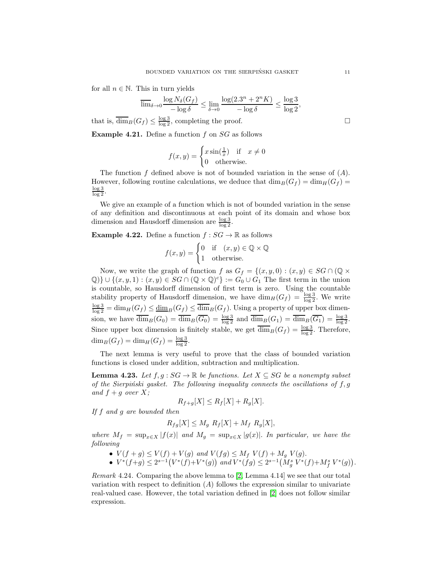for all  $n \in \mathbb{N}$ . This in turn yields

$$
\overline{\lim}_{\delta \to 0} \frac{\log N_{\delta}(G_f)}{-\log \delta} \le \lim_{\delta \to 0} \frac{\log(2.3^n + 2^n K)}{-\log \delta} \le \frac{\log 3}{\log 2},
$$

that is,  $\overline{\dim}_B(G_f) \leq \frac{\log 3}{\log 2}$ , completing the proof.

**Example 4.21.** Define a function  $f$  on  $SG$  as follows

$$
f(x,y) = \begin{cases} x\sin(\frac{1}{x}) & \text{if } x \neq 0\\ 0 & \text{otherwise.} \end{cases}
$$

The function f defined above is not of bounded variation in the sense of  $(A)$ . However, following routine calculations, we deduce that  $\dim_B(G_f) = \dim_H(G_f) =$ log 3  $\log 2$ 

We give an example of a function which is not of bounded variation in the sense of any definition and discontinuous at each point of its domain and whose box dimension and Hausdorff dimension are  $\frac{\log 3}{\log 2}$ .

**Example 4.22.** Define a function  $f : SG \to \mathbb{R}$  as follows

$$
f(x, y) = \begin{cases} 0 & \text{if } (x, y) \in \mathbb{Q} \times \mathbb{Q} \\ 1 & \text{otherwise.} \end{cases}
$$

Now, we write the graph of function f as  $G_f = \{(x, y, 0) : (x, y) \in SG \cap (\mathbb{Q} \times$  $\{\mathbb{Q}\}\cup\{(x,y,1): (x,y)\in SG\cap (\mathbb{Q}\times\mathbb{Q})^c\}:=G_0\cup G_1$  The first term in the union is countable, so Hausdorff dimension of first term is zero. Using the countable stability property of Hausdorff dimension, we have  $\dim_H(G_f) = \frac{\log 3}{\log 2}$ . We write  $\frac{\log 3}{\log 2} = \dim_H(G_f) \le \underline{\dim}_B(G_f) \le \overline{\dim}_B(G_f)$ . Using a property of upper box dimension, we have  $\overline{\dim}_B(G_0) = \overline{\dim}_B(\overline{G_0}) = \frac{\log 3}{\log 2}$  and  $\overline{\dim}_B(G_1) = \overline{\dim}_B(\overline{G_1}) = \frac{\log 3}{\log 2}$ . Since upper box dimension is finitely stable, we get  $\overline{\dim}_B(G_f) = \frac{\log 3}{\log 2}$ . Therefore,  $\dim_B(G_f) = \dim_H(G_f) = \frac{\log 3}{\log 2}.$ 

The next lemma is very useful to prove that the class of bounded variation functions is closed under addition, subtraction and multiplication.

<span id="page-10-0"></span>**Lemma 4.23.** Let  $f, g : SG \to \mathbb{R}$  be functions. Let  $X \subseteq SG$  be a nonempty subset of the Sierpiński gasket. The following inequality connects the oscillations of  $f, g$ and  $f + g$  over X;

$$
R_{f+g}[X] \le R_f[X] + R_g[X].
$$

If f and g are bounded then

$$
R_{fg}[X] \le M_g R_f[X] + M_f R_g[X],
$$

where  $M_f = \sup_{x \in X} |f(x)|$  and  $M_g = \sup_{x \in X} |g(x)|$ . In particular, we have the following

- $V(f + g) \le V(f) + V(g)$  and  $V(fg) \le M_f V(f) + M_g V(g)$ .
- $V^*(f+g) \leq 2^{s-1}(V^*(f)+V^*(g))$  and  $V^*(fg) \leq 2^{s-1}(M_g^s V^*(f)+M_f^s V^*(g)).$

*Remark* 4.24. Comparing the above lemma to  $[2, \text{Lemma } 4.14]$  we see that our total variation with respect to definition  $(A)$  follows the expression similar to univariate real-valued case. However, the total variation defined in [\[2\]](#page-13-3) does not follow similar expression.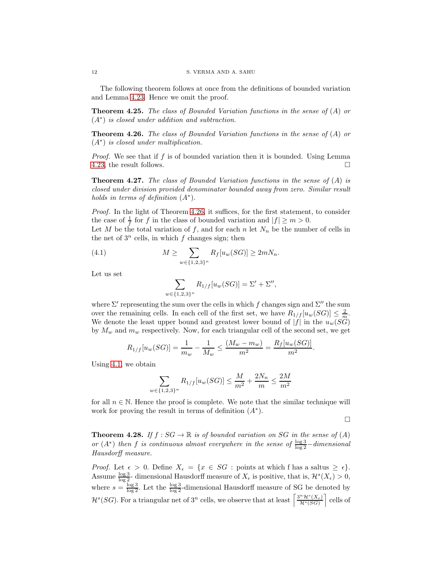The following theorem follows at once from the definitions of bounded variation and Lemma [4.23.](#page-10-0) Hence we omit the proof.

**Theorem 4.25.** The class of Bounded Variation functions in the sense of  $(A)$  or (A<sup>∗</sup> ) is closed under addition and subtraction.

<span id="page-11-0"></span>**Theorem 4.26.** The class of Bounded Variation functions in the sense of  $(A)$  or (A<sup>∗</sup> ) is closed under multiplication.

Proof. We see that if f is of bounded variation then it is bounded. Using Lemma [4.23,](#page-10-0) the result follows.

**Theorem 4.27.** The class of Bounded Variation functions in the sense of  $(A)$  is closed under division provided denominator bounded away from zero. Similar result holds in terms of definition  $(A^*)$ .

Proof. In the light of Theorem [4.26,](#page-11-0) it suffices, for the first statement, to consider the case of  $\frac{1}{f}$  for f in the class of bounded variation and  $|f| \ge m > 0$ .

Let M be the total variation of f, and for each n let  $N_n$  be the number of cells in the net of  $3^n$  cells, in which f changes sign; then

(4.1) 
$$
M \geq \sum_{w \in \{1,2,3\}^n} R_f[u_w(SG)] \geq 2mN_n.
$$

Let us set

<span id="page-11-1"></span>
$$
\sum_{w \in \{1,2,3\}^n} R_{1/f}[u_w(SG)] = \Sigma' + \Sigma'',
$$

where  $\Sigma'$  representing the sum over the cells in which f changes sign and  $\Sigma''$  the sum over the remaining cells. In each cell of the first set, we have  $R_{1/f}[u_w(SG)] \leq \frac{2}{m}$ . We denote the least upper bound and greatest lower bound of  $|f|$  in the  $u_w(SG)$ by  $M_w$  and  $m_w$  respectively. Now, for each triangular cell of the second set, we get

$$
R_{1/f}[u_w(SG)] = \frac{1}{m_w} - \frac{1}{M_w} \le \frac{(M_w - m_w)}{m^2} = \frac{R_f[u_w(SG)]}{m^2}.
$$

Using [4.1,](#page-11-1) we obtain

$$
\sum_{w \in \{1,2,3\}^n} R_{1/f}[u_w(SG)] \le \frac{M}{m^2} + \frac{2N_n}{m} \le \frac{2M}{m^2}
$$

for all  $n \in \mathbb{N}$ . Hence the proof is complete. We note that the similar technique will work for proving the result in terms of definition  $(A^*)$ .

 $\Box$ 

**Theorem 4.28.** If  $f : SG \to \mathbb{R}$  is of bounded variation on SG in the sense of  $(A)$ or  $(A^*)$  then f is continuous almost everywhere in the sense of  $\frac{\log 3}{\log 2}$  -dimensional Hausdorff measure.

*Proof.* Let  $\epsilon > 0$ . Define  $X_{\epsilon} = \{x \in SG : \text{points at which } f \text{ has a saltus } \geq \epsilon\}.$ Assume  $\frac{\log 3}{\log 2}$ - dimensional Hausdorff measure of  $X_{\epsilon}$  is positive, that is,  $\mathcal{H}^{s}(X_{\epsilon}) > 0$ , where  $s = \frac{\log 3}{\log 2}$ . Let the  $\frac{\log 3}{\log 2}$ -dimensional Hausdorff measure of SG be denoted by  $\mathcal{H}^s(SG)$ . For a triangular net of  $3^n$  cells, we observe that at least  $\left\lceil \frac{3^n \mathcal{H}^s(X_{\epsilon})}{\mathcal{H}^s(SG)} \right\rceil$  cells of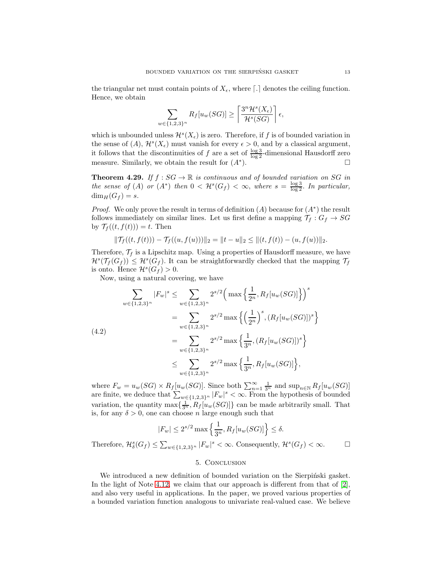the triangular net must contain points of  $X_{\epsilon}$ , where  $\lceil . \rceil$  denotes the ceiling function. Hence, we obtain

$$
\sum_{w \in \{1,2,3\}^n} R_f[u_w(SG)] \ge \left\lceil \frac{3^n \mathcal{H}^s(X_{\epsilon})}{\mathcal{H}^s(SG)} \right\rceil \epsilon,
$$

which is unbounded unless  $\mathcal{H}^s(X_\epsilon)$  is zero. Therefore, if f is of bounded variation in the sense of  $(A)$ ,  $\mathcal{H}^s(X_\epsilon)$  must vanish for every  $\epsilon > 0$ , and by a classical argument, it follows that the discontinuities of f are a set of  $\frac{\log 3}{\log 2}$ -dimensional Hausdorff zero measure. Similarly, we obtain the result for  $(A^*)$ . ). Fig.  $\Box$ 

**Theorem 4.29.** If  $f : SG \to \mathbb{R}$  is continuous and of bounded variation on SG in the sense of (A) or  $(A^*)$  then  $0 < H^s(G_f) < \infty$ , where  $s = \frac{\log 3}{\log 2}$ . In particular,  $\dim_H(G_f) = s.$ 

*Proof.* We only prove the result in terms of definition  $(A)$  because for  $(A^*)$  the result follows immediately on similar lines. Let us first define a mapping  $\mathcal{T}_f : G_f \to SG$ by  $\mathcal{T}_f((t, f(t))) = t$ . Then

$$
\|\mathcal{T}_f((t,f(t))) - \mathcal{T}_f((u,f(u)))\|_2 = \|t - u\|_2 \leq \|(t,f(t)) - (u,f(u))\|_2.
$$

Therefore,  $\mathcal{T}_f$  is a Lipschitz map. Using a properties of Hausdorff measure, we have  $\mathcal{H}^s(\mathcal{T}_f(G_f)) \leq \mathcal{H}^s(G_f)$ . It can be straightforwardly checked that the mapping  $\mathcal{T}_f$ is onto. Hence  $\mathcal{H}^s(G_f) > 0$ .

Now, using a natural covering, we have

$$
\sum_{w \in \{1,2,3\}^n} |F_w|^s \le \sum_{w \in \{1,2,3\}^n} 2^{s/2} \left( \max\left\{ \frac{1}{2^n}, R_f[u_w(SG)] \right\} \right)^s
$$
  

$$
= \sum_{w \in \{1,2,3\}^n} 2^{s/2} \max\left\{ \left( \frac{1}{2^n} \right)^s, (R_f[u_w(SG)])^s \right\}
$$
  

$$
= \sum_{w \in \{1,2,3\}^n} 2^{s/2} \max\left\{ \frac{1}{3^n}, (R_f[u_w(SG)])^s \right\}
$$
  

$$
\le \sum_{w \in \{1,2,3\}^n} 2^{s/2} \max\left\{ \frac{1}{3^n}, R_f[u_w(SG)] \right\},
$$

where  $F_w = u_w(SG) \times R_f[u_w(SG)]$ . Since both  $\sum_{n=1}^{\infty} \frac{1}{3^n}$  and  $\sup_{n \in \mathbb{N}} R_f[u_w(SG)]$ are finite, we deduce that  $\sum_{w \in \{1,2,3\}^n} |F_w|^s < \infty$ . From the hypothesis of bounded variation, the quantity  $\max\{\frac{1}{3^n}, R_f[u_w(SG)]\}$  can be made arbitrarily small. That is, for any  $\delta > 0$ , one can choose *n* large enough such that

$$
|F_w| \le 2^{s/2} \max\left\{\frac{1}{3^n}, R_f[u_w(SG)]\right\} \le \delta.
$$

Therefore,  $\mathcal{H}_{\delta}^{s}(G_f) \leq \sum_{w \in \{1,2,3\}^n} |F_w|^s < \infty$ . Consequently,  $\mathcal{H}^{s}(G_f) < \infty$ .

## 5. Conclusion

We introduced a new definition of bounded variation on the Sierpinski gasket. In the light of Note [4.12,](#page-8-0) we claim that our approach is different from that of  $[2]$ , and also very useful in applications. In the paper, we proved various properties of a bounded variation function analogous to univariate real-valued case. We believe